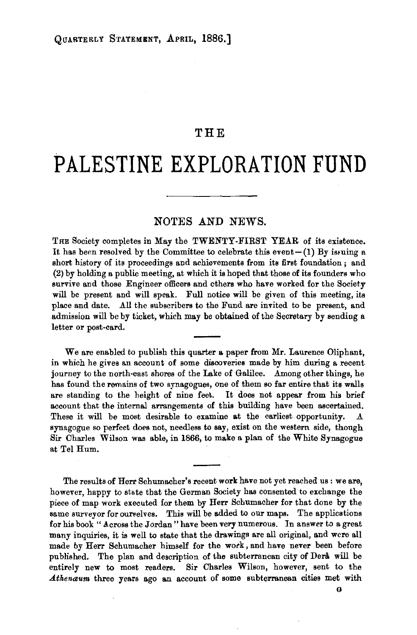## THE

## **PALESTINE EXPLORATION FUND**

## NOTES AND NEWS.

THE Society completes in May the TWENTY-FIRST YEAR of its existence. It has been resolved by the Committee to celebrate this event $-(1)$  By issuing a short history of its proceedings and achievements from its first foundation ; and (2) by holding a public meeting, at which it is hoped that those of its founders who survive and those Engineer officers and others who have worked for the Society will be present and will speak. Full notice will be given of this meeting, its place and date. All the subscribers to the Fund are invited to be present, and admission will be by ticket, which may be obtained of the Secretary by sending a letter or post-card.

We are enabled to publish this quarter a paper from Mr. Laurence Oliphant, in which he gives an account of some discoveries made by him during a recent journey to the north·east shores of the Lake of Galilee. Among other things, he has found the remains of two synagogues, one of them so far entire that its walls are standing to the height of nine feet. It does not appear from his brief account that the internal arrangements of this building have been ascertained. These it will be most desirable to examine at the earliest opportunity. synagogue so perfect does not, needless to say, exist on the western side, though Sir Charles Wilson was able, in 1866, to make a plan of the White Synagogue at Tel Hum.

The results of Herr Schumacher's recent work have not yet reached us : we are, however, happy to state that the German Society has consented to exchange the piece of map work executed for them by Herr Schumacher for that done by the same surveyor for ourselves. This will be added to our maps. The applications for his book "Across the Jordan" have been very numerous. In answer to a great many inquiries, it is well to state that the drawings are all original, and were all made by Herr Schumacher himself for the work, and have never been before published. The plan and description of the subterranean city of Dera will be entirely new to most readers. Sir Charles Wilson, however, sent to the Athenaum three years ago an account of some subterranean cities met with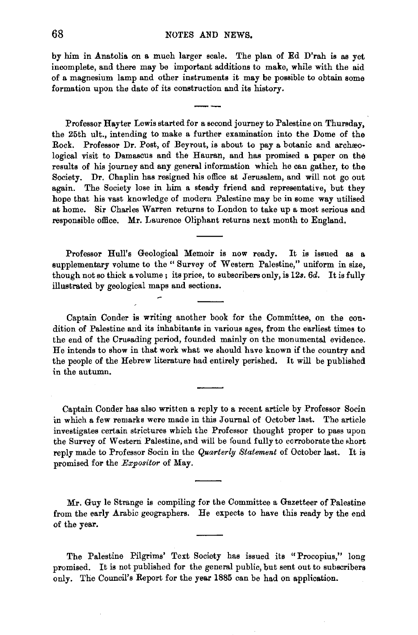by him in Anatolia on a much larger scale. The plan of Ed D'rah is as yet incomplete, and there may be important additions to make, while with the aid of a magnesium lamp and other instruments it may be possible to obtain some formation upon the date of its construction and its history.

Professor Hayter Lewis started for a second journey to Palestine on Thursday, the 25th ult., intending to make a further examination into the Dome of the Rock. Professor Dr. Post, of Beyrout, is about to pay a botanic and archæological visit to Damascus and the Hauran, and has promised a paper on the results of his journey and any general information which he can gather, to the Society. Dr. Chaplin has resigned his office at Jerusalem, and will not go out again. The Society lose in him a steady friend and representative, but they hope that his vast knowledge of modern Palestine may be in some way utilised at home. Sir Charles Warren returns to London to take up a most serious and responsible office. Mr. Laurence Oliphant returns next month to England.

Professor Hull's Geological Memoir is now ready. It is issued as a supplementary volume to the " Survey of Western Palestine," uniform in size, though not so thick a volume; its price, to subscribers only, is 12s. 6d. It is fully illustrated by geological maps and sections.

Captain Conder is writing another book for the Committee, on the con· dition of Palestine and its inhabitants in various ages, from the earliest times to the end of the Crusading period, founded mainly on the monumental evidence. He intends to show in that work what we should have known if the country and the people of the Hebrew literature had entirely perished. It will be published in the autumn.

Captain Conder has also written a reply to a recent article by Professor Socin in which a few remarks were made in this Journal of October last. The article investigates certain strictures which the Professor thought proper to pass upon the Survey of Western Palestine, and will be found fully to corroborate the short reply made to Professor Socin in the *Quarterly Statement* of October last. It is promised for the *Expositor* of May.

Mr. Guy le Strange is compiling for the Committee a Gazetteer of Palestine from the early Arabic geographers. He expects to have this ready by the end of the year.

The Palestine Pilgrims' Text Society has issued its "Procopius," long promised. It is not published for the general public, but sent out to subscribers only. The Council's Report for the year 1885 can be had on application.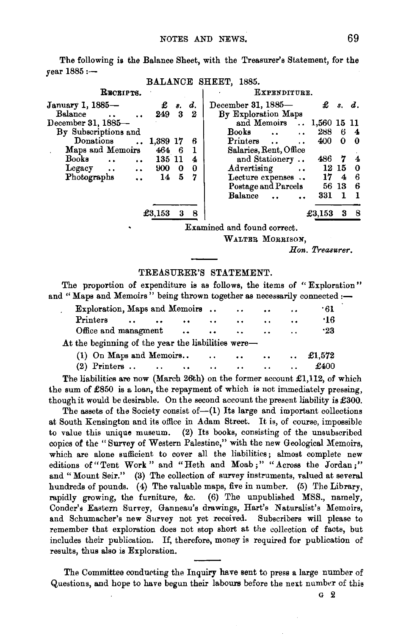The following is the Balance Sheet, with the Treasurer's Statement, for the  $year 1885 : -$ BALT ANOT SHEETS 1985

|                                     |               |         |              | DALANCE SHEET, 1889.                                              |                         |  |  |  |  |
|-------------------------------------|---------------|---------|--------------|-------------------------------------------------------------------|-------------------------|--|--|--|--|
| RECEIPTS.                           |               |         | EXPENDITURE. |                                                                   |                         |  |  |  |  |
| January 1, 1885—                    |               | £ s. d. |              | December 31, 1885-<br>£                                           | s. d.                   |  |  |  |  |
| Balance                             | 249           | 3       | -2           | By Exploration Maps                                               |                         |  |  |  |  |
| December 31, 1885-                  |               |         |              | and Memoirs  1,560 15 11                                          |                         |  |  |  |  |
| By Subscriptions and                |               |         |              | Books<br>288<br>6<br>$\ddot{\phantom{a}}$<br>$\ddot{\phantom{a}}$ | $\overline{\mathbf{4}}$ |  |  |  |  |
| Donations                           | 1,389 17      |         | 6            | 400<br>Printers<br>0                                              | - 0                     |  |  |  |  |
| Maps and Memoirs                    | $464 \quad 6$ |         |              | Salaries, Rent, Office                                            |                         |  |  |  |  |
| Books<br>$\ddot{\phantom{a}}$       | 135 11        |         | 4            | and Stationery<br>486<br>7                                        | 4                       |  |  |  |  |
| Legacy<br>$\cdot \cdot$             | 900           | 0       | $\bf{0}$     | Advertising<br>12 15<br>$\ddotsc$                                 | $\bf{0}$                |  |  |  |  |
| Photographs<br>$\ddot{\phantom{a}}$ | 14            | 5       | 7            | 17<br>Lecture expenses<br>4                                       | 6                       |  |  |  |  |
|                                     |               |         |              | Postage and Parcels<br>56<br>-13                                  | 6                       |  |  |  |  |
|                                     |               |         |              | Balance<br>331<br>1                                               | - 1                     |  |  |  |  |
|                                     | £3,153        | 3       | 8            | £3,153<br>3                                                       | - 8                     |  |  |  |  |
|                                     |               |         |              | Examined and found correct.                                       |                         |  |  |  |  |

WALTER MORRISON.

*Hon. Treasurer.* 

## TREASURER'S STATEMENT.

The proportion of expenditure is as follows, the items of "Exploration" and "Maps and Memoirs" being thrown together as necessarily connected :-

| Exploration, Maps and Memoirs.                     |                      |           |          |                                         | $\ddot{\phantom{0}}$ | $\cdots$                        | $\cdot \cdot$        | -61             |
|----------------------------------------------------|----------------------|-----------|----------|-----------------------------------------|----------------------|---------------------------------|----------------------|-----------------|
| Printers                                           | $\ddot{\phantom{a}}$ | $\cdot$ . | $\cdots$ | $\ddot{\phantom{0}}$                    | $\cdot$              | $\ddot{\phantom{1}}$            | $\ddot{\phantom{a}}$ | .16             |
| Office and managment                               |                      |           |          |                                         | $\ddotsc$            | $\ddotsc$                       | $\ddot{\phantom{a}}$ | $\cdot 23$      |
| At the beginning of the year the liabilities were- |                      |           |          |                                         |                      |                                 |                      |                 |
| (1) On Maps and Memoirs                            |                      |           |          | and the state of the state of the state |                      | <b><i>Charles Committee</i></b> |                      | $\ldots$ £1.572 |
| $(2)$ Printers                                     |                      |           | $\cdots$ | $\bullet$                               | $\ddot{\phantom{a}}$ | $\ddot{\phantom{0}}$            | $\ddot{\phantom{a}}$ | £400            |

The liabilities are now (March 26th) on the former account £1,112, of which the sum of £850 is a loan, the repayment of which is not immediately pressing, though it would be desirable. On the second account the present liability is £300.

The assets of the Society consist of- $(1)$  Its large and important collections at South Kensington and its office in Adam Street. It is, of course, impossible to value this unique museum. {2) Its books, consisting of the unsubscribed copies of the "Survey of Western Palestine," with the new Geological Memoirs, which are alone sufficient to cover all the liabilities; almost complete new editions of "Tent Work" and "Heth and Moab;" "Across the Jordan;" and "Mount Seir." (3) The collection of survey instruments, valued at several hundreds of pounds. (4) The valuable maps, five in number. (5) The Library, rapidly growing, the furniture, &c. (6) The unpublished MSS., namely, Conder's Eastern Survey, Ganneau's drawings, Hart's Naturalist's Memoirs, and Schumacher's new Survey not yet received. Subscribers will please to remember that exploration does not stop short at the collection of facts, but includes their publication. If, therefore, money is required for publication of results, thus also is Exploration.

The Committee condurting the Inquiry have sent to press a large number of Questions, and hope to have begun their labours before the next number of this

G 2